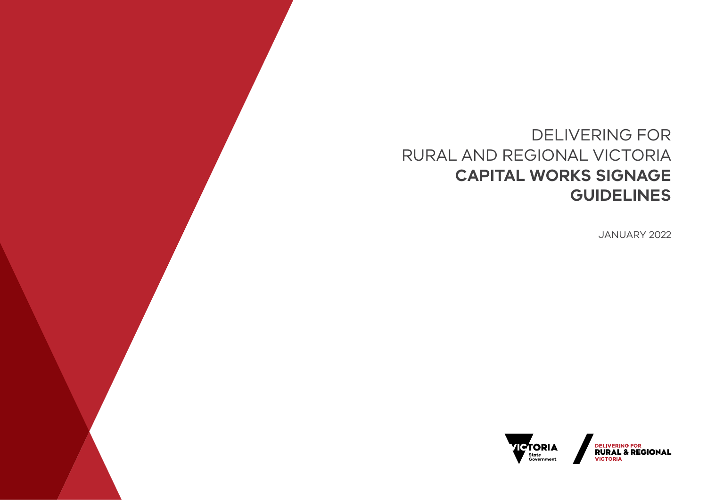# DELIVERING FOR RURAL AND REGIONAL VICTORIA **CAPITAL WORKS SIGNAGE GUIDELINES**

JANUARY 2022



DELIVERING FOR<br>**RURAL & REGIONAL VICTORIA**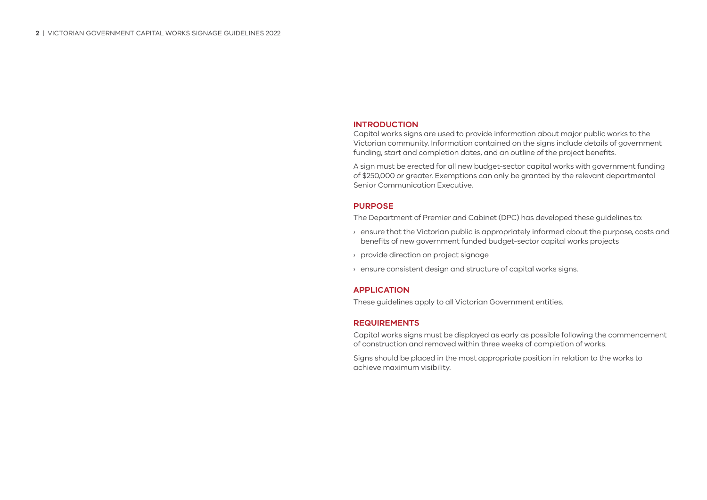### **INTRODUCTION**

Capital works signs are used to provide information about major public works to the Victorian community. Information contained on the signs include details of government funding, start and completion dates, and an outline of the project benefits.

A sign must be erected for all new budget-sector capital works with government funding of \$250,000 or greater. Exemptions can only be granted by the relevant departmental Senior Communication Executive.

### **PURPOSE**

The Department of Premier and Cabinet (DPC) has developed these guidelines to:

- › ensure that the Victorian public is appropriately informed about the purpose, costs and benefits of new government funded budget-sector capital works projects
- › provide direction on project signage
- › ensure consistent design and structure of capital works signs.

## **APPLICATION**

These guidelines apply to all Victorian Government entities.

## **REQUIREMENTS**

Capital works signs must be displayed as early as possible following the commencement of construction and removed within three weeks of completion of works.

Signs should be placed in the most appropriate position in relation to the works to achieve maximum visibility.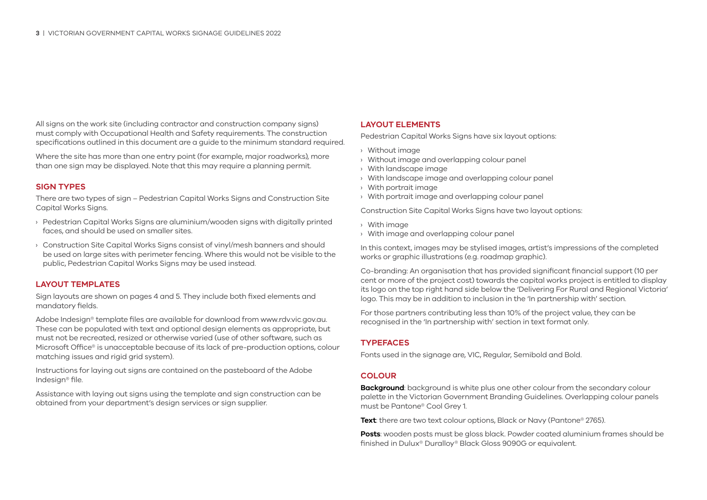All signs on the work site (including contractor and construction company signs) must comply with Occupational Health and Safety requirements. The construction specifications outlined in this document are a quide to the minimum standard required.

Where the site has more than one entry point (for example, major roadworks), more than one sign may be displayed. Note that this may require a planning permit.

### **SIGN TYPES**

There are two types of sign – Pedestrian Capital Works Signs and Construction Site Capital Works Signs.

- › Pedestrian Capital Works Signs are aluminium/wooden signs with digitally printed faces, and should be used on smaller sites.
- › Construction Site Capital Works Signs consist of vinyl/mesh banners and should be used on large sites with perimeter fencing. Where this would not be visible to the public, Pedestrian Capital Works Signs may be used instead.

### **LAYOUT TEMPLATES**

Sign layouts are shown on pages 4 and 5. They include both fixed elements and mandatory fields.

Adobe Indesign® template files are available for download from www.rdv.vic.gov.au. These can be populated with text and optional design elements as appropriate, but must not be recreated, resized or otherwise varied (use of other software, such as Microsoft Office® is unacceptable because of its lack of pre-production options, colour matching issues and rigid grid system).

Instructions for laying out signs are contained on the pasteboard of the Adobe Indesign® file.

Assistance with laying out signs using the template and sign construction can be obtained from your department's design services or sign supplier.

### **LAYOUT ELEMENTS**

Pedestrian Capital Works Signs have six layout options:

- › Without image
- › Without image and overlapping colour panel
- › With landscape image
- › With landscape image and overlapping colour panel
- › With portrait image
- › With portrait image and overlapping colour panel

Construction Site Capital Works Signs have two layout options:

- › With image
- › With image and overlapping colour panel

In this context, images may be stylised images, artist's impressions of the completed works or graphic illustrations (e.g. roadmap graphic).

Co-branding: An organisation that has provided significant financial support (10 per cent or more of the project cost) towards the capital works project is entitled to display its logo on the top right hand side below the 'Delivering For Rural and Regional Victoria' logo. This may be in addition to inclusion in the 'In partnership with' section.

For those partners contributing less than 10% of the project value, they can be recognised in the 'In partnership with' section in text format only.

## **TYPEFACES**

Fonts used in the signage are, VIC, Regular, Semibold and Bold.

#### **COLOUR**

**Background**: background is white plus one other colour from the secondary colour palette in the Victorian Government Branding Guidelines. Overlapping colour panels must be Pantone® Cool Grey 1.

**Text**: there are two text colour options, Black or Navy (Pantone<sup>®</sup> 2765).

**Posts**: wooden posts must be gloss black. Powder coated aluminium frames should be finished in Dulux® Duralloy® Black Gloss 9090G or equivalent.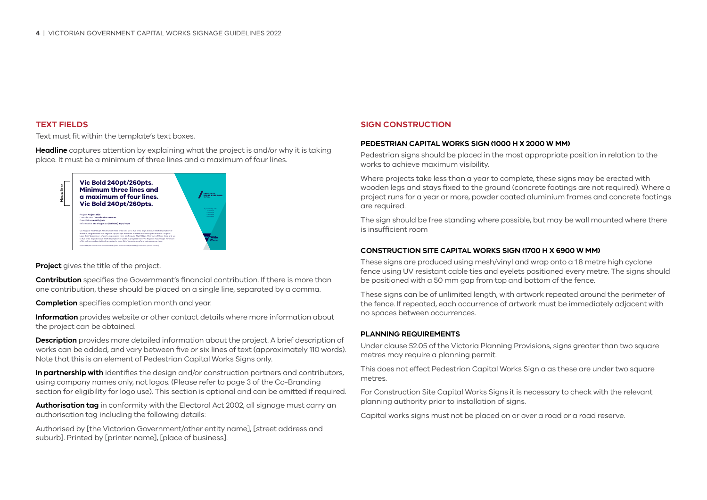## **TEXT FIELDS**

Text must fit within the template's text boxes.

**Headline** captures attention by explaining what the project is and/or why it is taking place. It must be a minimum of three lines and a maximum of four lines.



**Project** gives the title of the project.

**Contribution** specifies the Government's financial contribution. If there is more than one contribution, these should be placed on a single line, separated by a comma.

**Completion** specifies completion month and year.

**Information** provides website or other contact details where more information about the project can be obtained.

**Description** provides more detailed information about the project. A brief description of works can be added, and vary between five or six lines of text (approximately 110 words). Note that this is an element of Pedestrian Capital Works Signs only.

**In partnership with** identifies the design and/or construction partners and contributors, using company names only, not logos. (Please refer to page 3 of the Co-Branding section for eligibility for logo use). This section is optional and can be omitted if required.

**Authorisation tag** in conformity with the Electoral Act 2002, all signage must carry an authorisation tag including the following details:

Authorised by [the Victorian Government/other entity name], [street address and suburb]. Printed by [printer name], [place of business].

## **SIGN CONSTRUCTION**

### **PEDESTRIAN CAPITAL WORKS SIGN (1000 H X 2000 W MM)**

Pedestrian signs should be placed in the most appropriate position in relation to the works to achieve maximum visibility.

Where projects take less than a year to complete, these signs may be erected with wooden legs and stays fixed to the ground (concrete footings are not required). Where a project runs for a year or more, powder coated aluminium frames and concrete footings are required.

The sign should be free standing where possible, but may be wall mounted where there is insufficient room

### **CONSTRUCTION SITE CAPITAL WORKS SIGN (1700 H X 6900 W MM)**

These signs are produced using mesh/vinyl and wrap onto a 1.8 metre high cyclone fence using UV resistant cable ties and eyelets positioned every metre. The signs should be positioned with a 50 mm gap from top and bottom of the fence.

These signs can be of unlimited length, with artwork repeated around the perimeter of the fence. If repeated, each occurrence of artwork must be immediately adjacent with no spaces between occurrences.

#### **PLANNING REQUIREMENTS**

Under clause 52.05 of the Victoria Planning Provisions, signs greater than two square metres may require a planning permit.

This does not effect Pedestrian Capital Works Sign a as these are under two square metres.

For Construction Site Capital Works Signs it is necessary to check with the relevant planning authority prior to installation of signs.

Capital works signs must not be placed on or over a road or a road reserve.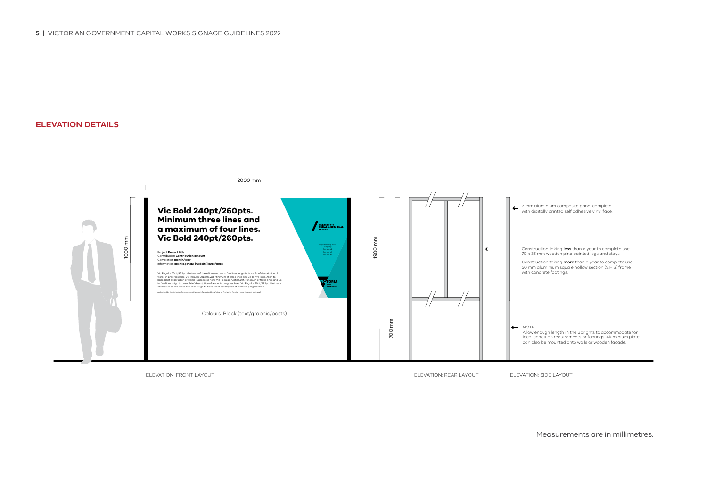**ELEVATION DETAILS**



Measurements are in millimetres.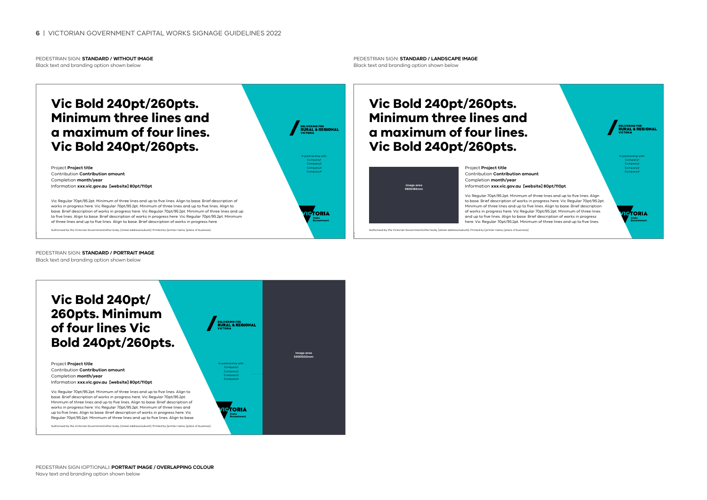PEDESTRIAN SIGN: **STANDARD / WITHOUT IMAGE** Black text and branding option shown below

# **Vic Bold 240pt/260pts. Minimum three lines and a maximum of four lines. Vic Bold 240pt/260pts.**

Project **Project title** Contribution **Contribution amount** Completion **month/year** Information **xxx.vic.gov.au [website] 80pt/110pt**

Vic Regular 70pt/95.2pt. Minimum of three lines and up to five lines. Align to base. Brief description of works in progress here. Vic Regular 70pt/95.2pt. Minimum of three lines and up to five lines. Align to base. Brief description of works in progress here. Vic Regular 70pt/95.2pt. Minimum of three lines and up to five lines. Align to base. Brief description of works in progress here. Vic Regular 70pt/95.2pt. Minimum of three lines and up to five lines. Alian to base. Brief description of works in progress here.

Authorised by the Victorian Government/other body, [street address/suburb]. Printed by [printer name, [place of business].

PEDESTRIAN SIGN: **STANDARD / PORTRAIT IMAGE** Black text and branding option shown below



PEDESTRIAN SIGN: **STANDARD / LANDSCAPE IMAGE** Black text and branding option shown below

# **Vic Bold 240pt/260pts. Minimum three lines and a maximum of four lines. Vic Bold 240pt/260pts.**

| image area<br>580X366mm |  |
|-------------------------|--|
|                         |  |
|                         |  |
|                         |  |
|                         |  |
|                         |  |
|                         |  |
|                         |  |

In partnership with: Company1 Company2 Company3 Company4

**CTORIA** 

DELIVERING FOR<br>RURAL & REGIONAL

Project **Project title** Contribution **Contribution amount** Completion **month/year** Information **xxx.vic.gov.au [website] 80pt/110pt**

Vic Regular 70pt/95.2pt. Minimum of three lines and up to five lines. Align to base. Brief description of works in progress here. Vic Regular 70pt/95.2pt. Minimum of three lines and up to five lines. Align to base. Brief description of works in progress here. Vic Regular 70pt/95.2pt. Minimum of three lines and up to five lines. Align to base. Brief description of works in progress here. Vic Regular 70pt/95.2pt. Minimum of three lines and up to five lines.

In partnership with: Company1 Company2 Company3 Company4

**CTORIA** 

**DELIVERING FOR**<br>**RURAL & REGIONAL** 

Authorised by the Victorian Government/other body, [street address/suburb]. Printed by [printer name, [place of business].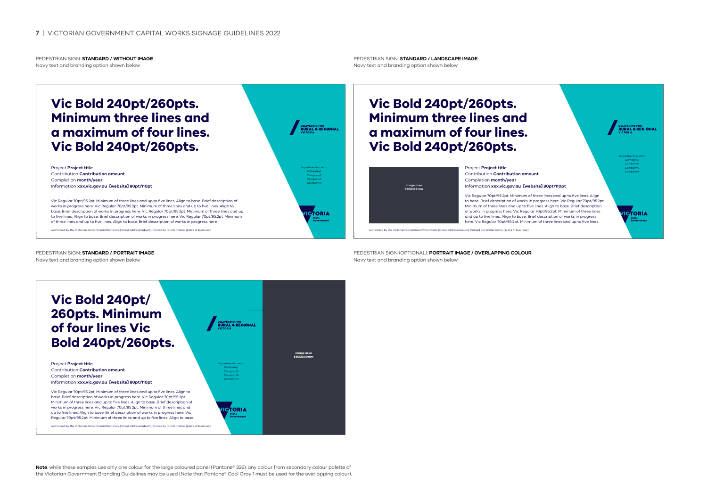#### PEDESTRIAN SIGN: **STANDARD / WITHOUT IMAGE** Navy text and branding option shown below

# **Vic Bold 240pt/260pts. Minimum three lines and a maximum of four lines. Vic Bold 240pt/260pts.**

Project **Project title** Contribution **Contribution amount** Completion **month/year** Information **xxx.vic.gov.au [website] 80pt/110pt**

Vic Regular 70pt/95.2pt. Minimum of three lines and up to five lines. Align to base. Brief description of works in progress here. Vic Regular 70pt/95.2pt. Minimum of three lines and up to five lines. Align to base. Brief description of works in progress here. Vic Regular 70pt/95.2pt. Minimum of three lines and up to five lines. Align to base. Brief description of works in progress here. Vic Regular 70pt/95.2pt. Minimum of three lines and up to five lines. Alian to base. Brief description of works in progress here.

Authorised by the Victorian Government/other body, [street address/suburb]. Printed by [printer name, [place of business].

PEDESTRIAN SIGN: **STANDARD / PORTRAIT IMAGE**

Navy text and branding option shown below



PEDESTRIAN SIGN: **STANDARD / LANDSCAPE IMAGE** Navy text and branding option shown below

## **Vic Bold 240pt/260pts. Minimum three lines and a maximum of four lines. Vic Bold 240pt/260pts.**



In partnership with: Company1 Company2 Company3 Company4

**CTORIA** 

**DELIVERING FOR**<br>**RURAL & REGIONAL** 

Project **Project title** Contribution **Contribution amount** Completion **month/year** Information **xxx.vic.gov.au [website] 80pt/110pt**

Vic Regular 70pt/95.2pt. Minimum of three lines and up to five lines. Align to base. Brief description of works in progress here. Vic Regular 70pt/95.2pt. Minimum of three lines and up to five lines. Align to base. Brief description of works in progress here. Vic Regular 70pt/95.2pt. Minimum of three lines and up to five lines. Align to base. Brief description of works in progress here. Vic Regular 70pt/95.2pt. Minimum of three lines and up to five lines.

In partnership with: Company1 Company3 Company4

**PTORIA** 

**DELIVERING FOR**<br>**RURAL & REGIONA** 

Authorised by the Victorian Government/other body, [street address/suburb]. Printed by [printer name, [place of business].

PEDESTRIAN SIGN (OPTIONAL): **PORTRAIT IMAGE / OVERLAPPING COLOUR** Navy text and branding option shown below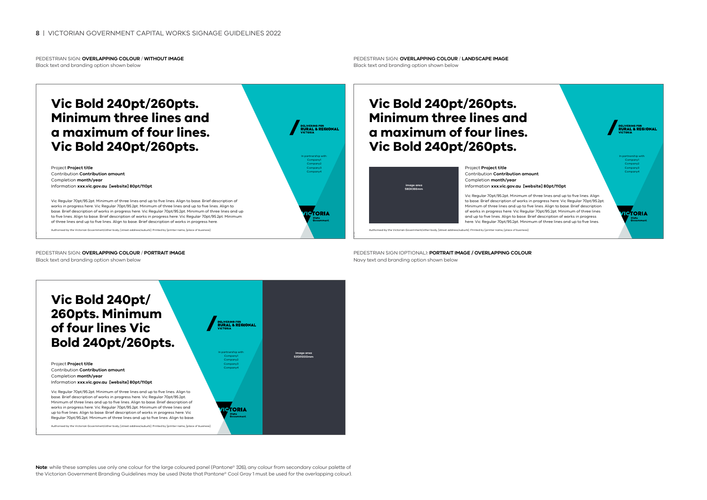PEDESTRIAN SIGN: **OVERLAPPING COLOUR** / **WITHOUT IMAGE** Black text and branding option shown below

# **Vic Bold 240pt/260pts. Minimum three lines and a maximum of four lines. Vic Bold 240pt/260pts.**

Project **Project title** Contribution **Contribution amount** Completion **month/year** Information **xxx.vic.gov.au [website] 80pt/110pt**

Vic Regular 70pt/95.2pt. Minimum of three lines and up to five lines. Align to base. Brief description of works in progress here. Vic Regular 70pt/95.2pt. Minimum of three lines and up to five lines. Align to base. Brief description of works in progress here. Vic Regular 70pt/95.2pt. Minimum of three lines and up to five lines. Align to base. Brief description of works in progress here. Vic Regular 70pt/95.2pt. Minimum of three lines and up to five lines. Alian to base. Brief description of works in progress here.

Authorised by the Victorian Government/other body, [street address/suburb]. Printed by [printer name, [place of business].

PEDESTRIAN SIGN: **OVERLAPPING COLOUR** / **PORTRAIT IMAGE** Black text and branding option shown below



PEDESTRIAN SIGN: **OVERLAPPING COLOUR** / **LANDSCAPE IMAGE** Black text and branding option shown below

# **Vic Bold 240pt/260pts. Minimum three lines and a maximum of four lines. Vic Bold 240pt/260pts.**



Project **Project title** Contribution **Contribution amount** Completion **month/year** Information **xxx.vic.gov.au [website] 80pt/110pt**

Vic Regular 70pt/95.2pt. Minimum of three lines and up to five lines. Align to base. Brief description of works in progress here. Vic Regular 70pt/95.2pt. Minimum of three lines and up to five lines. Align to base. Brief description of works in progress here. Vic Regular 70pt/95.2pt. Minimum of three lines and up to five lines. Align to base. Brief description of works in progress here. Vic Regular 70pt/95.2pt. Minimum of three lines and up to five lines.

In partnership with: Company1 Company2 Company3 Company4

**CTORIA** 

**DELIVERING FOR**<br>**RURAL & REGIONAL** 

Authorised by the Victorian

PEDESTRIAN SIGN (OPTIONAL): **PORTRAIT IMAGE / OVERLAPPING COLOUR** Navy text and branding option shown below



**Note**: while these samples use only one colour for the large coloured panel (Pantone® 326), any colour from secondary colour palette of the Victorian Government Branding Guidelines may be used (Note that Pantone® Cool Gray 1 must be used for the overlapping colour).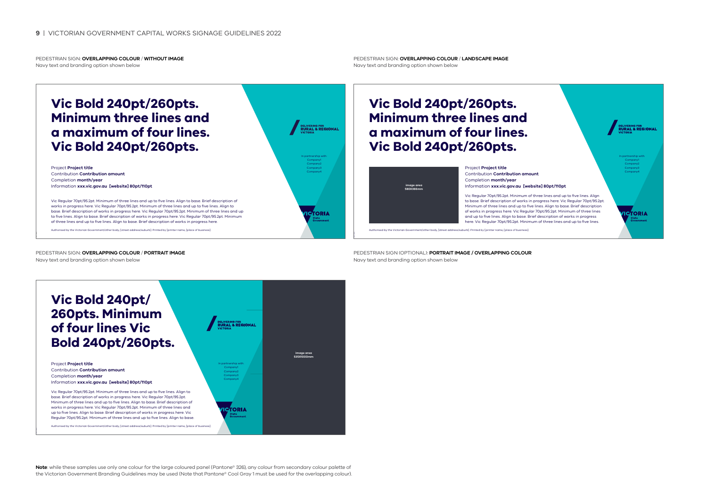PEDESTRIAN SIGN: **OVERLAPPING COLOUR** / **WITHOUT IMAGE** Navy text and branding option shown below

# **Vic Bold 240pt/260pts. Minimum three lines and a maximum of four lines. Vic Bold 240pt/260pts.**

Project **Project title** Contribution **Contribution amount** Completion **month/year** Information **xxx.vic.gov.au [website] 80pt/110pt**

Vic Regular 70pt/95.2pt. Minimum of three lines and up to five lines. Align to base. Brief description of works in progress here. Vic Regular 70pt/95.2pt. Minimum of three lines and up to five lines. Align to base. Brief description of works in progress here. Vic Regular 70pt/95.2pt. Minimum of three lines and up to five lines. Align to base. Brief description of works in progress here. Vic Regular 70pt/95.2pt. Minimum of three lines and up to five lines. Alian to base. Brief description of works in progress here.

Authorised by the Victorian Government/other body, [street address/suburb]. Printed by [printer name, [place of business].

PEDESTRIAN SIGN: **OVERLAPPING COLOUR** / **PORTRAIT IMAGE** Navy text and branding option shown below

DELIVERING FOR<br>**RURAL & REGIONAL** In partnership with: Company1 Company3 Company4 **CTORIA** 

PEDESTRIAN SIGN: **OVERLAPPING COLOUR** / **LANDSCAPE IMAGE** Navy text and branding option shown below

# **Vic Bold 240pt/260pts. Minimum three lines and a maximum of four lines. Vic Bold 240pt/260pts.**



Project **Project title** Contribution **Contribution amount** Completion **month/year** Information **xxx.vic.gov.au [website] 80pt/110pt**

Vic Regular 70pt/95.2pt. Minimum of three lines and up to five lines. Align to base. Brief description of works in progress here. Vic Regular 70pt/95.2pt. Minimum of three lines and up to five lines. Align to base. Brief description of works in progress here. Vic Regular 70pt/95.2pt. Minimum of three lines and up to five lines. Align to base. Brief description of works in progress here. Vic Regular 70pt/95.2pt. Minimum of three lines and up to five lines.

In partnership with: Company1 Company3 Company4

**CTORIA** 

**DELIVERING FOR**<br>**RURAL & REGIONA** 

Authorised by the Victorian Government/other body, [street address/suburb]. Printed by [printer name, [place of business].

PEDESTRIAN SIGN (OPTIONAL): **PORTRAIT IMAGE / OVERLAPPING COLOUR** Navy text and branding option shown below



.<br>Authorised by the Victorian Government/other body, [street address/suburb]. Drinted by [p

**Note**: while these samples use only one colour for the large coloured panel (Pantone® 326), any colour from secondary colour palette of the Victorian Government Branding Guidelines may be used (Note that Pantone® Cool Gray 1 must be used for the overlapping colour).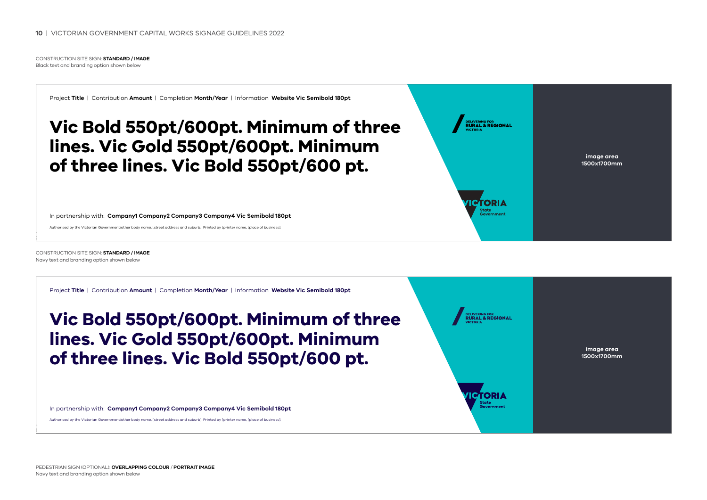CONSTRUCTION SITE SIGN: **STANDARD / IMAGE** Black text and branding option shown below

Project **Title** | Contribution **Amount** | Completion **Month/Year** | Information **Website Vic Semibold 180pt** 

# **Vic Bold 550pt/600pt. Minimum of three lines. Vic Gold 550pt/600pt. Minimum of three lines. Vic Bold 550pt/600 pt.**

In partnership with: **Company1 Company2 Company3 Company4 Vic Semibold 180pt** 

Authorised by the Victorian Government/other body name, [street address and suburb]. Printed by [printer name, [place of business].



**image area 1500x1700mm**

CONSTRUCTION SITE SIGN: **STANDARD / IMAGE** Navy text and branding option shown below

Project **Title** | Contribution **Amount** | Completion **Month/Year** | Information **Website Vic Semibold 180pt Vic Bold 550pt/600pt. Minimum of three LIVERING FOR<br>URAL & REGIONAL lines. Vic Gold 550pt/600pt. Minimum image area of three lines. Vic Bold 550pt/600 pt. 1500x1700mmICTORIA** In partnership with: **Company1 Company2 Company3 Company4 Vic Semibold 180pt**  Authorised by the Victorian Government/other body name, [street address and suburb]. Printed by [printer name, [place of business].

PEDESTRIAN SIGN (OPTIONAL): **OVERLAPPING COLOUR** / **PORTRAIT IMAGE** Navy text and branding option shown below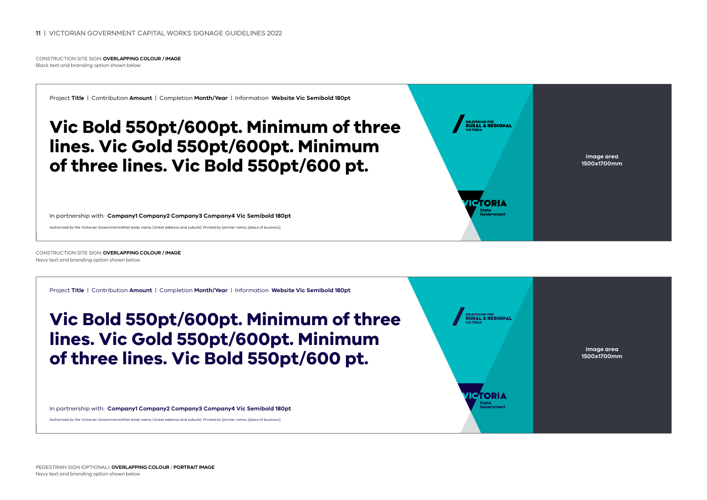CONSTRUCTION SITE SIGN: **OVERLAPPING COLOUR / IMAGE** Black text and branding option shown below

Project **Title** | Contribution **Amount** | Completion **Month/Year** | Information **Website Vic Semibold 180pt** 

# **Vic Bold 550pt/600pt. Minimum of three lines. Vic Gold 550pt/600pt. Minimum of three lines. Vic Bold 550pt/600 pt.**

In partnership with: **Company1 Company2 Company3 Company4 Vic Semibold 180pt** 

Authorised by the Victorian Government/other body name, [street address and suburb]. Printed by [printer name, [place of business].



**1500x1700mm**

CONSTRUCTION SITE SIGN: **OVERLAPPING COLOUR / IMAGE** Navy text and branding option shown below

Project **Title** | Contribution **Amount** | Completion **Month/Year** | Information **Website Vic Semibold 180pt** 

# **Vic Bold 550pt/600pt. Minimum of three lines. Vic Gold 550pt/600pt. Minimum of three lines. Vic Bold 550pt/600 pt.**

In partnership with: **Company1 Company2 Company3 Company4 Vic Semibold 180pt** 

Authorised by the Victorian Government/other body name, [street address and suburb]. Printed by [printer name, [place of business].



**image area 1500x1700mm**

PEDESTRIAN SIGN (OPTIONAL): **OVERLAPPING COLOUR** / **PORTRAIT IMAGE** Navy text and branding option shown below